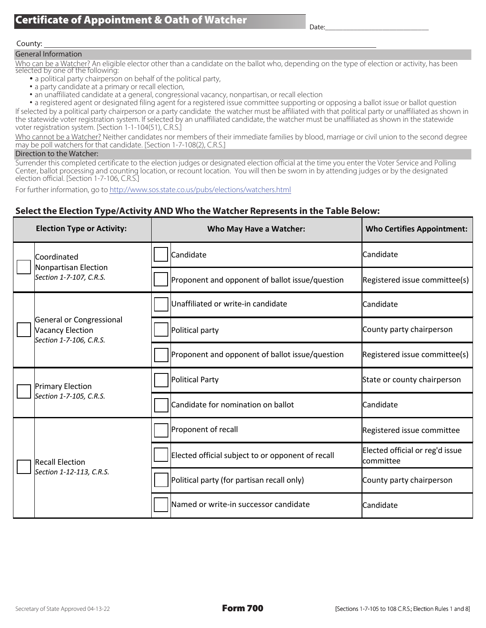#### County:

## General Information

Who can be a Watcher? An eligible elector other than a candidate on the ballot who, depending on the type of election or activity, has been selected by one of the following:

- a political party chairperson on behalf of the political party,
- a party candidate at a primary or recall election,
- an unaffiliated candidate at a general, congressional vacancy, nonpartisan, or recall election

• a registered agent or designated filing agent for a registered issue committee supporting or opposing a ballot issue or ballot question If selected by a political party chairperson or a party candidate the watcher must be affiliated with that political party or unaffiliated as shown in the statewide voter registration system. If selected by an unaffiliated candidate, the watcher must be unaffiliated as shown in the statewide voter registration system. [Section 1-1-104(51), C.R.S.]

Who cannot be a Watcher? Neither candidates nor members of their immediate families by blood, marriage or civil union to the second degree may be poll watchers for that candidate. [Section 1-7-108(2), C.R.S.]

## Direction to the Watcher:

Surrender this completed certificate to the election judges or designated election official at the time you enter the Voter Service and Polling Center, ballot processing and counting location, or recount location. You will then be sworn in by attending judges or by the designated election official. [Section 1-7-106, C.R.S.]

For further information, go to http://www.sos.state.co.us/pubs/elections/watchers.html

## **Select the Election Type/Activity AND Who the Watcher Represents in the Table Below:**

| <b>Election Type or Activity:</b>                                              | Who May Have a Watcher:                           | <b>Who Certifies Appointment:</b>                        |
|--------------------------------------------------------------------------------|---------------------------------------------------|----------------------------------------------------------|
| Coordinated<br>Nonpartisan Election<br>Section 1-7-107, C.R.S.                 | Candidate                                         | Candidate                                                |
|                                                                                | Proponent and opponent of ballot issue/question   | Registered issue committee(s)                            |
| General or Congressional<br><b>Vacancy Election</b><br>Section 1-7-106, C.R.S. | Unaffiliated or write-in candidate                | Candidate                                                |
|                                                                                | Political party                                   | County party chairperson                                 |
|                                                                                | Proponent and opponent of ballot issue/question   | Registered issue committee(s)                            |
| <b>Primary Election</b><br>Section 1-7-105, C.R.S.                             | <b>Political Party</b>                            | State or county chairperson                              |
|                                                                                | Candidate for nomination on ballot                | Candidate                                                |
| <b>Recall Election</b><br>Section 1-12-113, C.R.S.                             | Proponent of recall                               | Registered issue committee                               |
|                                                                                | Elected official subject to or opponent of recall | Elected official or reg'd issue<br>committee             |
|                                                                                | Political party (for partisan recall only)        | County party chairperson                                 |
|                                                                                | Named or write-in successor candidate             | Candidate                                                |
|                                                                                |                                                   |                                                          |
| Secretary of State Approved 04-13-22                                           | <b>Form 700</b>                                   | [Sections 1-7-105 to 108 C.R.S.; Election Rules 1 and 8] |